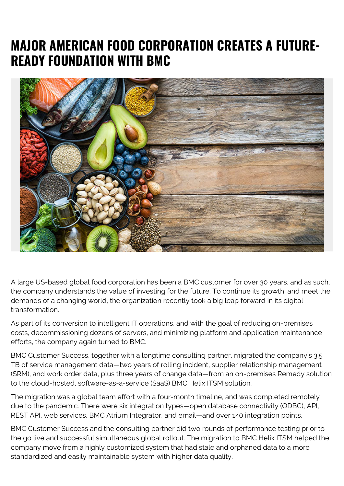## **MAJOR AMERICAN FOOD CORPORATION CREATES A FUTURE-READY FOUNDATION WITH BMC**



A large US-based global food corporation has been a BMC customer for over 30 years, and as such, the company understands the value of investing for the future. To continue its growth, and meet the demands of a changing world, the organization recently took a big leap forward in its digital transformation.

As part of its conversion to intelligent IT operations, and with the goal of reducing on-premises costs, decommissioning dozens of servers, and minimizing platform and application maintenance efforts, the company again turned to BMC.

BMC Customer Success, together with a longtime consulting partner, migrated the company's 3.5 TB of service management data—two years of rolling incident, supplier relationship management (SRM), and work order data, plus three years of change data—from an on-premises Remedy solution to the cloud-hosted, software-as-a-service (SaaS) BMC Helix ITSM solution.

The migration was a global team effort with a four-month timeline, and was completed remotely due to the pandemic. There were six integration types—open database connectivity (ODBC), API, REST API, web services, BMC Atrium Integrator, and email—and over 140 integration points.

BMC Customer Success and the consulting partner did two rounds of performance testing prior to the go live and successful simultaneous global rollout. The migration to BMC Helix ITSM helped the company move from a highly customized system that had stale and orphaned data to a more standardized and easily maintainable system with higher data quality.